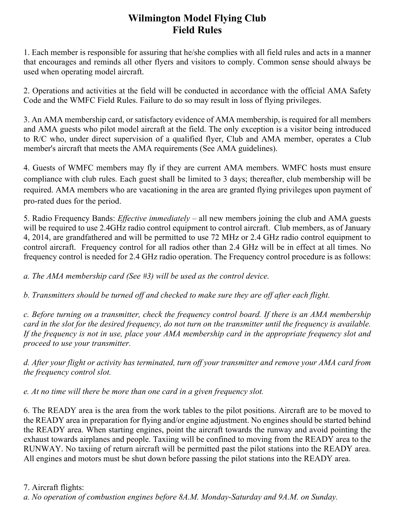## **Wilmington Model Flying Club Field Rules**

1. Each member is responsible for assuring that he/she complies with all field rules and acts in a manner that encourages and reminds all other flyers and visitors to comply. Common sense should always be used when operating model aircraft.

2. Operations and activities at the field will be conducted in accordance with the official AMA Safety Code and the WMFC Field Rules. Failure to do so may result in loss of flying privileges.

3. An AMA membership card, or satisfactory evidence of AMA membership, is required for all members and AMA guests who pilot model aircraft at the field. The only exception is a visitor being introduced to R/C who, under direct supervision of a qualified flyer, Club and AMA member, operates a Club member's aircraft that meets the AMA requirements (See AMA guidelines).

4. Guests of WMFC members may fly if they are current AMA members. WMFC hosts must ensure compliance with club rules. Each guest shall be limited to 3 days; thereafter, club membership will be required. AMA members who are vacationing in the area are granted flying privileges upon payment of pro-rated dues for the period.

5. Radio Frequency Bands: *Effective immediately –* all new members joining the club and AMA guests will be required to use 2.4GHz radio control equipment to control aircraft. Club members, as of January 4, 2014, are grandfathered and will be permitted to use 72 MHz or 2.4 GHz radio control equipment to control aircraft. Frequency control for all radios other than 2.4 GHz will be in effect at all times. No frequency control is needed for 2.4 GHz radio operation. The Frequency control procedure is as follows:

*a. The AMA membership card (See #3) will be used as the control device.* 

*b. Transmitters should be turned off and checked to make sure they are off after each flight.* 

*c. Before turning on a transmitter, check the frequency control board. If there is an AMA membership card in the slot for the desired frequency, do not turn on the transmitter until the frequency is available. If the frequency is not in use, place your AMA membership card in the appropriate frequency slot and proceed to use your transmitter.* 

*d. After your flight or activity has terminated, turn off your transmitter and remove your AMA card from the frequency control slot.* 

*e. At no time will there be more than one card in a given frequency slot.*

6. The READY area is the area from the work tables to the pilot positions. Aircraft are to be moved to the READY area in preparation for flying and/or engine adjustment. No engines should be started behind the READY area. When starting engines, point the aircraft towards the runway and avoid pointing the exhaust towards airplanes and people. Taxiing will be confined to moving from the READY area to the RUNWAY. No taxiing of return aircraft will be permitted past the pilot stations into the READY area. All engines and motors must be shut down before passing the pilot stations into the READY area.

7. Aircraft flights: *a. No operation of combustion engines before 8A.M. Monday-Saturday and 9A.M. on Sunday.*